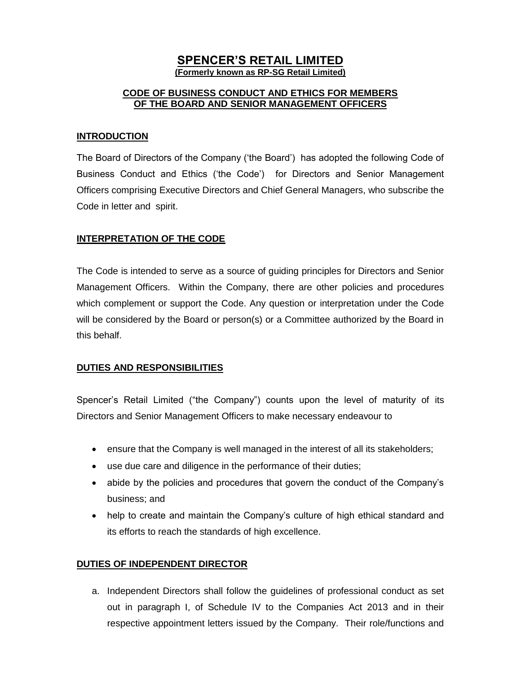### **SPENCER'S RETAIL LIMITED (Formerly known as RP-SG Retail Limited)**

### **CODE OF BUSINESS CONDUCT AND ETHICS FOR MEMBERS OF THE BOARD AND SENIOR MANAGEMENT OFFICERS**

#### **INTRODUCTION**

The Board of Directors of the Company ('the Board') has adopted the following Code of Business Conduct and Ethics ('the Code') for Directors and Senior Management Officers comprising Executive Directors and Chief General Managers, who subscribe the Code in letter and spirit.

#### **INTERPRETATION OF THE CODE**

The Code is intended to serve as a source of guiding principles for Directors and Senior Management Officers. Within the Company, there are other policies and procedures which complement or support the Code. Any question or interpretation under the Code will be considered by the Board or person(s) or a Committee authorized by the Board in this behalf.

#### **DUTIES AND RESPONSIBILITIES**

Spencer's Retail Limited ("the Company") counts upon the level of maturity of its Directors and Senior Management Officers to make necessary endeavour to

- ensure that the Company is well managed in the interest of all its stakeholders;
- use due care and diligence in the performance of their duties;
- abide by the policies and procedures that govern the conduct of the Company's business; and
- help to create and maintain the Company's culture of high ethical standard and its efforts to reach the standards of high excellence.

#### **DUTIES OF INDEPENDENT DIRECTOR**

a. Independent Directors shall follow the guidelines of professional conduct as set out in paragraph I, of Schedule IV to the Companies Act 2013 and in their respective appointment letters issued by the Company. Their role/functions and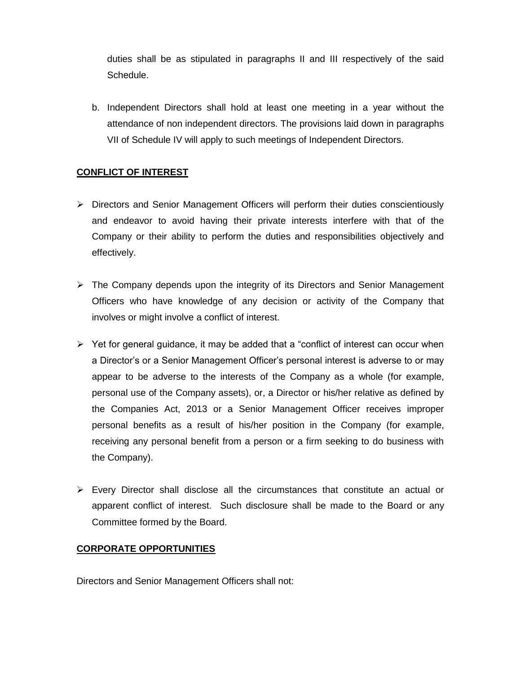duties shall be as stipulated in paragraphs II and III respectively of the said Schedule.

b. Independent Directors shall hold at least one meeting in a year without the attendance of non independent directors. The provisions laid down in paragraphs VII of Schedule IV will apply to such meetings of Independent Directors.

# **CONFLICT OF INTEREST**

- $\triangleright$  Directors and Senior Management Officers will perform their duties conscientiously and endeavor to avoid having their private interests interfere with that of the Company or their ability to perform the duties and responsibilities objectively and effectively.
- $\triangleright$  The Company depends upon the integrity of its Directors and Senior Management Officers who have knowledge of any decision or activity of the Company that involves or might involve a conflict of interest.
- $\triangleright$  Yet for general guidance, it may be added that a "conflict of interest can occur when a Director's or a Senior Management Officer's personal interest is adverse to or may appear to be adverse to the interests of the Company as a whole (for example, personal use of the Company assets), or, a Director or his/her relative as defined by the Companies Act, 2013 or a Senior Management Officer receives improper personal benefits as a result of his/her position in the Company (for example, receiving any personal benefit from a person or a firm seeking to do business with the Company).
- $\triangleright$  Every Director shall disclose all the circumstances that constitute an actual or apparent conflict of interest. Such disclosure shall be made to the Board or any Committee formed by the Board.

#### **CORPORATE OPPORTUNITIES**

Directors and Senior Management Officers shall not: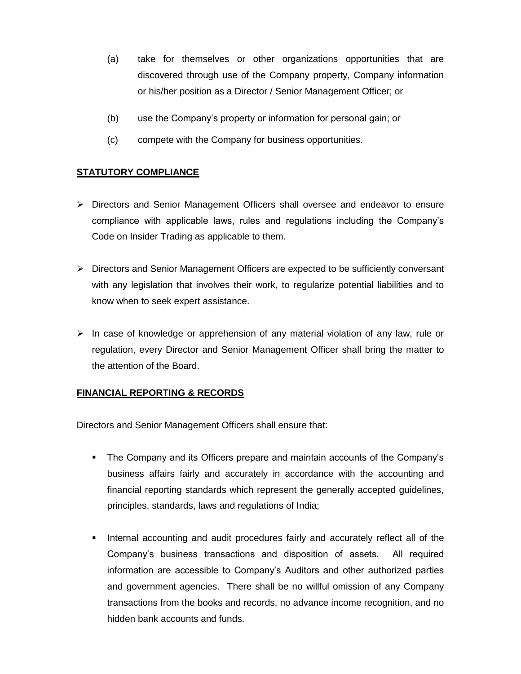- (a) take for themselves or other organizations opportunities that are discovered through use of the Company property, Company information or his/her position as a Director / Senior Management Officer; or
- (b) use the Company's property or information for personal gain; or
- (c) compete with the Company for business opportunities.

# **STATUTORY COMPLIANCE**

- Directors and Senior Management Officers shall oversee and endeavor to ensure compliance with applicable laws, rules and regulations including the Company's Code on Insider Trading as applicable to them.
- $\triangleright$  Directors and Senior Management Officers are expected to be sufficiently conversant with any legislation that involves their work, to regularize potential liabilities and to know when to seek expert assistance.
- $\triangleright$  In case of knowledge or apprehension of any material violation of any law, rule or regulation, every Director and Senior Management Officer shall bring the matter to the attention of the Board.

#### **FINANCIAL REPORTING & RECORDS**

Directors and Senior Management Officers shall ensure that:

- The Company and its Officers prepare and maintain accounts of the Company's business affairs fairly and accurately in accordance with the accounting and financial reporting standards which represent the generally accepted guidelines, principles, standards, laws and regulations of India;
- **Internal accounting and audit procedures fairly and accurately reflect all of the** Company's business transactions and disposition of assets. All required information are accessible to Company's Auditors and other authorized parties and government agencies. There shall be no willful omission of any Company transactions from the books and records, no advance income recognition, and no hidden bank accounts and funds.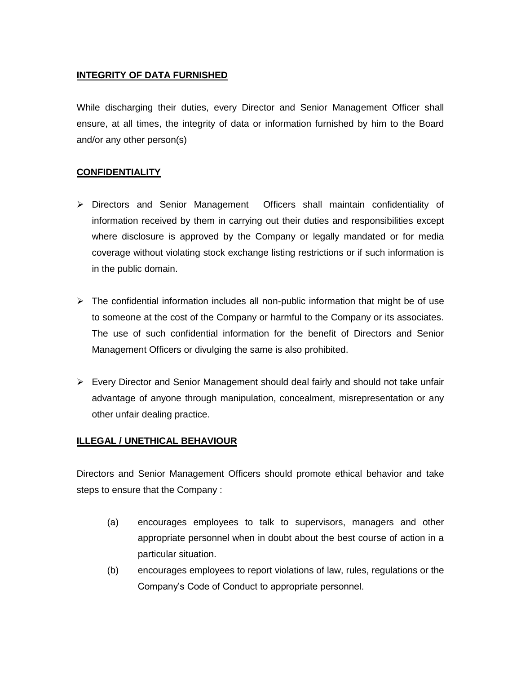### **INTEGRITY OF DATA FURNISHED**

While discharging their duties, every Director and Senior Management Officer shall ensure, at all times, the integrity of data or information furnished by him to the Board and/or any other person(s)

## **CONFIDENTIALITY**

- Directors and Senior Management Officers shall maintain confidentiality of information received by them in carrying out their duties and responsibilities except where disclosure is approved by the Company or legally mandated or for media coverage without violating stock exchange listing restrictions or if such information is in the public domain.
- $\triangleright$  The confidential information includes all non-public information that might be of use to someone at the cost of the Company or harmful to the Company or its associates. The use of such confidential information for the benefit of Directors and Senior Management Officers or divulging the same is also prohibited.
- $\triangleright$  Every Director and Senior Management should deal fairly and should not take unfair advantage of anyone through manipulation, concealment, misrepresentation or any other unfair dealing practice.

#### **ILLEGAL / UNETHICAL BEHAVIOUR**

Directors and Senior Management Officers should promote ethical behavior and take steps to ensure that the Company :

- (a) encourages employees to talk to supervisors, managers and other appropriate personnel when in doubt about the best course of action in a particular situation.
- (b) encourages employees to report violations of law, rules, regulations or the Company's Code of Conduct to appropriate personnel.